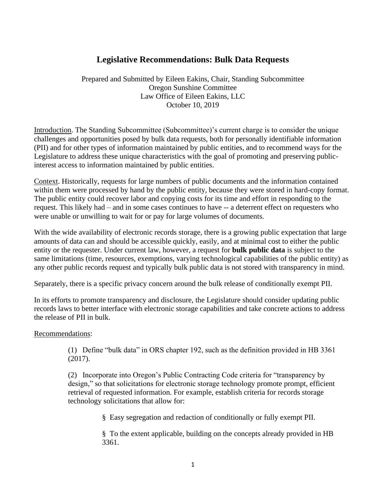## **Legislative Recommendations: Bulk Data Requests**

Prepared and Submitted by Eileen Eakins, Chair, Standing Subcommittee Oregon Sunshine Committee Law Office of Eileen Eakins, LLC October 10, 2019

Introduction. The Standing Subcommittee (Subcommittee)'s current charge is to consider the unique challenges and opportunities posed by bulk data requests, both for personally identifiable information (PII) and for other types of information maintained by public entities, and to recommend ways for the Legislature to address these unique characteristics with the goal of promoting and preserving publicinterest access to information maintained by public entities.

Context. Historically, requests for large numbers of public documents and the information contained within them were processed by hand by the public entity, because they were stored in hard-copy format. The public entity could recover labor and copying costs for its time and effort in responding to the request. This likely had – and in some cases continues to have -- a deterrent effect on requesters who were unable or unwilling to wait for or pay for large volumes of documents.

With the wide availability of electronic records storage, there is a growing public expectation that large amounts of data can and should be accessible quickly, easily, and at minimal cost to either the public entity or the requester. Under current law, however, a request for **bulk public data** is subject to the same limitations (time, resources, exemptions, varying technological capabilities of the public entity) as any other public records request and typically bulk public data is not stored with transparency in mind.

Separately, there is a specific privacy concern around the bulk release of conditionally exempt PII.

In its efforts to promote transparency and disclosure, the Legislature should consider updating public records laws to better interface with electronic storage capabilities and take concrete actions to address the release of PII in bulk.

## Recommendations:

(1) Define "bulk data" in ORS chapter 192, such as the definition provided in HB 3361 (2017).

(2) Incorporate into Oregon's Public Contracting Code criteria for "transparency by design," so that solicitations for electronic storage technology promote prompt, efficient retrieval of requested information. For example, establish criteria for records storage technology solicitations that allow for:

§ Easy segregation and redaction of conditionally or fully exempt PII.

§ To the extent applicable, building on the concepts already provided in HB 3361.